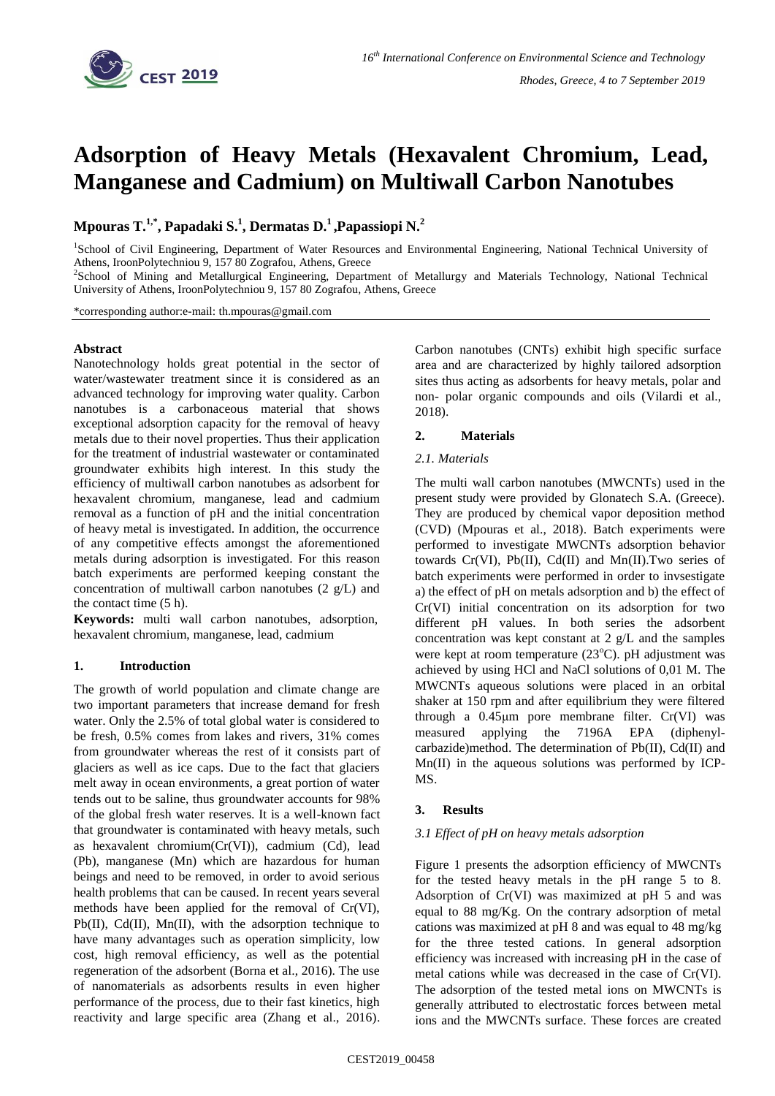

# **Adsorption of Heavy Metals (Hexavalent Chromium, Lead, Manganese and Cadmium) on Multiwall Carbon Nanotubes**

**Mpouras T. 1,\* , Papadaki S. 1 , Dermatas D. <sup>1</sup>,Papassiopi N. 2**

<sup>1</sup>School of Civil Engineering, Department of Water Resources and Environmental Engineering, National Technical University of Athens, IroonPolytechniou 9, 157 80 Zografou, Athens, Greece

2 School of Mining and Metallurgical Engineering, Department of Metallurgy and Materials Technology, National Technical University of Athens, IroonPolytechniou 9, 157 80 Zografou, Athens, Greece

\*corresponding author:e-mail: th.mpouras@gmail.com

## **Abstract**

Nanotechnology holds great potential in the sector of water/wastewater treatment since it is considered as an advanced technology for improving water quality. Carbon nanotubes is a carbonaceous material that shows exceptional adsorption capacity for the removal of heavy metals due to their novel properties. Thus their application for the treatment of industrial wastewater or contaminated groundwater exhibits high interest. In this study the efficiency of multiwall carbon nanotubes as adsorbent for hexavalent chromium, manganese, lead and cadmium removal as a function of pH and the initial concentration of heavy metal is investigated. In addition, the occurrence of any competitive effects amongst the aforementioned metals during adsorption is investigated. For this reason batch experiments are performed keeping constant the concentration of multiwall carbon nanotubes (2 g/L) and the contact time (5 h).

**Keywords:** multi wall carbon nanotubes, adsorption, hexavalent chromium, manganese, lead, cadmium

# **1. Introduction**

The growth of world population and climate change are two important parameters that increase demand for fresh water. Only the 2.5% of total global water is considered to be fresh, 0.5% comes from lakes and rivers, 31% comes from groundwater whereas the rest of it consists part of glaciers as well as ice caps. Due to the fact that glaciers melt away in ocean environments, a great portion of water tends out to be saline, thus groundwater accounts for 98% of the global fresh water reserves. It is a well-known fact that groundwater is contaminated with heavy metals, such as hexavalent chromium(Cr(VI)), cadmium (Cd), lead (Pb), manganese (Mn) which are hazardous for human beings and need to be removed, in order to avoid serious health problems that can be caused. In recent years several methods have been applied for the removal of Cr(VI), Pb(II), Cd(II), Mn(II), with the adsorption technique to have many advantages such as operation simplicity, low cost, high removal efficiency, as well as the potential regeneration of the adsorbent (Borna et al., 2016). The use of nanomaterials as adsorbents results in even higher performance of the process, due to their fast kinetics, high reactivity and large specific area (Zhang et al., 2016).

Carbon nanotubes (CNTs) exhibit high specific surface area and are characterized by highly tailored adsorption sites thus acting as adsorbents for heavy metals, polar and non- polar organic compounds and oils (Vilardi et al., 2018).

# **2. Materials**

### *2.1. Materials*

The multi wall carbon nanotubes (MWCNTs) used in the present study were provided by Glonatech S.A. (Greece). They are produced by chemical vapor deposition method (CVD) (Mpouras et al., 2018). Batch experiments were performed to investigate MWCNTs adsorption behavior towards Cr(VI), Pb(II), Cd(II) and Mn(II).Two series of batch experiments were performed in order to invsestigate a) the effect of pH on metals adsorption and b) the effect of Cr(VI) initial concentration on its adsorption for two different pH values. In both series the adsorbent concentration was kept constant at 2 g/L and the samples were kept at room temperature  $(23^{\circ}C)$ . pH adjustment was achieved by using HCl and NaCl solutions of 0,01 M. The MWCNTs aqueous solutions were placed in an orbital shaker at 150 rpm and after equilibrium they were filtered through a 0.45μm pore membrane filter. Cr(VI) was measured applying the 7196A EPA (diphenylcarbazide)method. The determination of Pb(II), Cd(II) and Mn(II) in the aqueous solutions was performed by ICP-MS.

# **3. Results**

# *3.1 Effect of pH on heavy metals adsorption*

Figure 1 presents the adsorption efficiency of MWCNTs for the tested heavy metals in the pH range 5 to 8. Adsorption of Cr(VI) was maximized at pH 5 and was equal to 88 mg/Kg. On the contrary adsorption of metal cations was maximized at pH 8 and was equal to 48 mg/kg for the three tested cations. In general adsorption efficiency was increased with increasing pH in the case of metal cations while was decreased in the case of Cr(VI). The adsorption of the tested metal ions on MWCNTs is generally attributed to electrostatic forces between metal ions and the MWCNTs surface. These forces are created